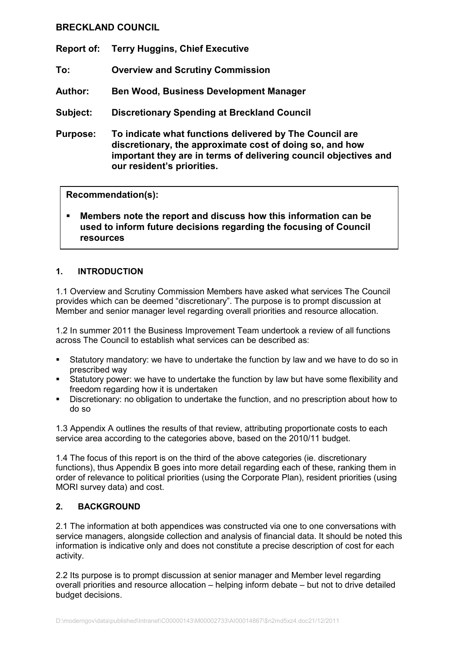# BRECKLAND COUNCIL

- Report of: Terry Huggins, Chief Executive
- To: Overview and Scrutiny Commission
- Author: Ben Wood, Business Development Manager
- Subject: Discretionary Spending at Breckland Council
- Purpose: To indicate what functions delivered by The Council are discretionary, the approximate cost of doing so, and how important they are in terms of delivering council objectives and our resident's priorities.

#### Recommendation(s):

§ Members note the report and discuss how this information can be used to inform future decisions regarding the focusing of Council resources

### 1. INTRODUCTION

1.1 Overview and Scrutiny Commission Members have asked what services The Council provides which can be deemed "discretionary". The purpose is to prompt discussion at Member and senior manager level regarding overall priorities and resource allocation.

1.2 In summer 2011 the Business Improvement Team undertook a review of all functions across The Council to establish what services can be described as:

- Statutory mandatory: we have to undertake the function by law and we have to do so in prescribed way
- § Statutory power: we have to undertake the function by law but have some flexibility and freedom regarding how it is undertaken
- § Discretionary: no obligation to undertake the function, and no prescription about how to do so

1.3 Appendix A outlines the results of that review, attributing proportionate costs to each service area according to the categories above, based on the 2010/11 budget.

1.4 The focus of this report is on the third of the above categories (ie. discretionary functions), thus Appendix B goes into more detail regarding each of these, ranking them in order of relevance to political priorities (using the Corporate Plan), resident priorities (using MORI survey data) and cost.

### 2. BACKGROUND

2.1 The information at both appendices was constructed via one to one conversations with service managers, alongside collection and analysis of financial data. It should be noted this information is indicative only and does not constitute a precise description of cost for each activity.

2.2 Its purpose is to prompt discussion at senior manager and Member level regarding overall priorities and resource allocation – helping inform debate – but not to drive detailed budget decisions.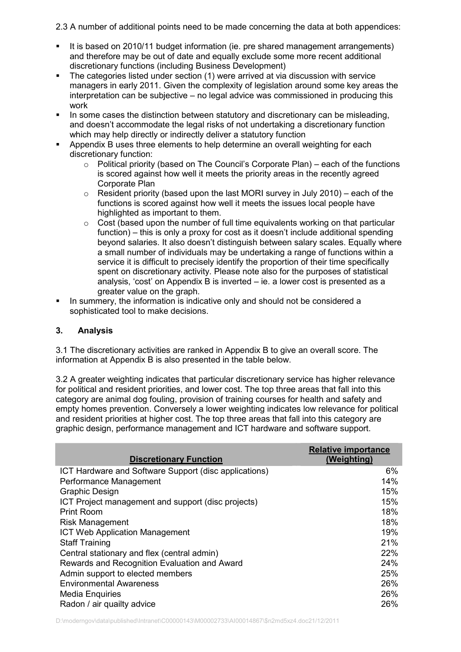2.3 A number of additional points need to be made concerning the data at both appendices:

- It is based on 2010/11 budget information (ie. pre shared management arrangements) and therefore may be out of date and equally exclude some more recent additional discretionary functions (including Business Development)
- The categories listed under section (1) were arrived at via discussion with service managers in early 2011. Given the complexity of legislation around some key areas the interpretation can be subjective – no legal advice was commissioned in producing this work
- In some cases the distinction between statutory and discretionary can be misleading. and doesn't accommodate the legal risks of not undertaking a discretionary function which may help directly or indirectly deliver a statutory function
- Appendix B uses three elements to help determine an overall weighting for each discretionary function:
	- $\circ$  Political priority (based on The Council's Corporate Plan) each of the functions is scored against how well it meets the priority areas in the recently agreed Corporate Plan
	- $\circ$  Resident priority (based upon the last MORI survey in July 2010) each of the functions is scored against how well it meets the issues local people have highlighted as important to them.
	- o Cost (based upon the number of full time equivalents working on that particular function) – this is only a proxy for cost as it doesn't include additional spending beyond salaries. It also doesn't distinguish between salary scales. Equally where a small number of individuals may be undertaking a range of functions within a service it is difficult to precisely identify the proportion of their time specifically spent on discretionary activity. Please note also for the purposes of statistical analysis, 'cost' on Appendix B is inverted – ie. a lower cost is presented as a greater value on the graph.
- In summery, the information is indicative only and should not be considered a sophisticated tool to make decisions.

## 3. Analysis

3.1 The discretionary activities are ranked in Appendix B to give an overall score. The information at Appendix B is also presented in the table below.

3.2 A greater weighting indicates that particular discretionary service has higher relevance for political and resident priorities, and lower cost. The top three areas that fall into this category are animal dog fouling, provision of training courses for health and safety and empty homes prevention. Conversely a lower weighting indicates low relevance for political and resident priorities at higher cost. The top three areas that fall into this category are graphic design, performance management and ICT hardware and software support.

| <b>Discretionary Function</b>                         | <b>Relative importance</b><br>(Weighting) |
|-------------------------------------------------------|-------------------------------------------|
| ICT Hardware and Software Support (disc applications) | 6%                                        |
| Performance Management                                | 14%                                       |
| <b>Graphic Design</b>                                 | 15%                                       |
| ICT Project management and support (disc projects)    | 15%                                       |
| <b>Print Room</b>                                     | 18%                                       |
| <b>Risk Management</b>                                | 18%                                       |
| <b>ICT Web Application Management</b>                 | 19%                                       |
| <b>Staff Training</b>                                 | 21%                                       |
| Central stationary and flex (central admin)           | 22%                                       |
| Rewards and Recognition Evaluation and Award          | 24%                                       |
| Admin support to elected members                      | 25%                                       |
| <b>Environmental Awareness</b>                        | 26%                                       |
| <b>Media Enquiries</b>                                | 26%                                       |
| Radon / air quailty advice                            | 26%                                       |

D:\moderngov\data\published\Intranet\C00000143\M00002733\AI00014867\\$n2md5xz4.doc21/12/2011